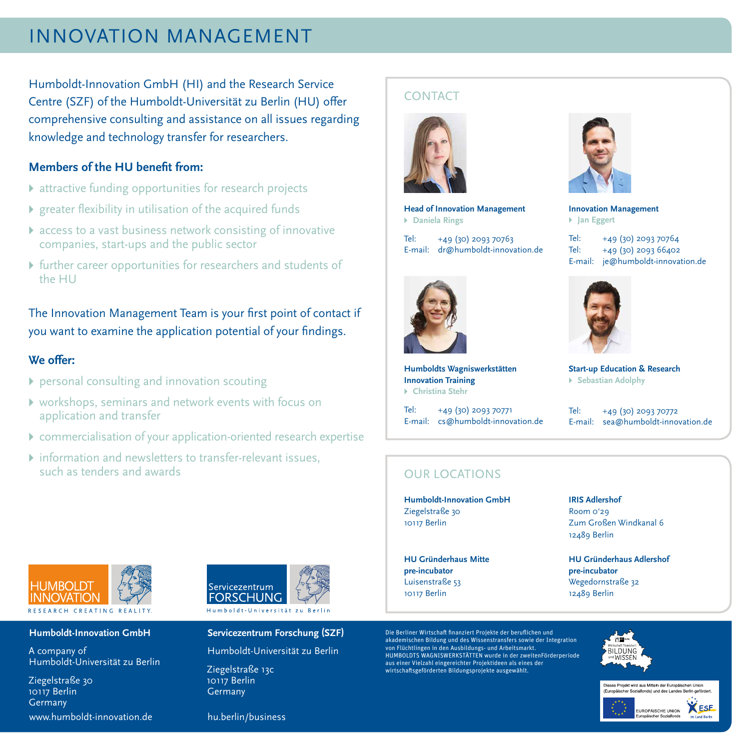# INNOVATION MANAGEMENT

Humboldt-Innovation GmbH (HI) and the Research Service Centre (SZF) of the Humboldt-Universität zu Berlin (HU) offer comprehensive consulting and assistance on all issues regarding knowledge and technology transfer for researchers.

## **Members of the HU benefit from:**

- ▸ attractive funding opportunities for research projects
- ▸ greater flexibility in utilisation of the acquired funds
- ▸ access to a vast business network consisting of innovative companies, start-ups and the public sector
- ▸ further career opportunities for researchers and students of the HU

The Innovation Management Team is your first point of contact if you want to examine the application potential of your findings.

## **We offer:**

- ▸ personal consulting and innovation scouting
- ▸ workshops, seminars and network events with focus on application and transfer
- ▸ commercialisation of your application-oriented research expertise
- ▸ information and newsletters to transfer-relevant issues, such as tenders and awards



#### **Humboldt-Innovation GmbH**

A company of Humboldt-Universität zu Berlin

Ziegelstraße 30 10117 Berlin Germany www.humboldt-innovation.de



#### **Servicezentrum Forschung (SZF)**

Humboldt-Universität zu Berlin

Ziegelstraße 13c 10117 Berlin Germany

# **CONTACT**



**Head of Innovation Management** ▸ **Daniela Rings**

Tel: +49 (30) 2093 70763 E-mail: dr@humboldt-innovation.de



**Humboldts Wagniswerkstätten Innovation Training** ▸ **Christina Stehr**

Tel: +49 (30) 2093 70771 E-mail: cs@humboldt-innovation.de



**Innovation Management** ▸ **Jan Eggert**

Tel: +49 (30) 2093 70764 Tel: +49 (30) 2093 66402 E-mail: je@humboldt-innovation.de



**Start-up Education & Research** ▸ **Sebastian Adolphy**

Tel: +49 (30) 2093 70772 E-mail: sea@humboldt-innovation.de

## OUR LOCATIONS

**Humboldt-Innovation GmbH** Ziegelstraße 30 10117 Berlin

**HU Gründerhaus Mitte pre-incubator** Luisenstraße 53 10117 Berlin

Die Berliner Wirtschaft finanziert Projekte der beruflichen und akademischen Bildung und des Wissenstransfers sowie der Integration von Flüchtlingen in den Ausbildungs- und Arbeitsmarkt. HUMBOLDTS WAGNISWERKSTÄTTEN wurde in der zweitenFörderperiode aus einer Vielzahl eingereichter Projektideen als eines der wirtschaftsgeförderten Bildungsprojekte ausgewählt.

#### **IRIS Adlershof** Room 0'29 Zum Großen Windkanal 6 12489 Berlin

**HU Gründerhaus Adlershof pre-incubator** Wegedornstraße 32 12489 Berlin



ses Projekt wird aus Mitteln der Europäischen Union левев гтојекt wird aus mittern der Europaischen onion<br>Europäischer Sozialfonds) und des Landes Berlin gefördert.



hu.berlin/business